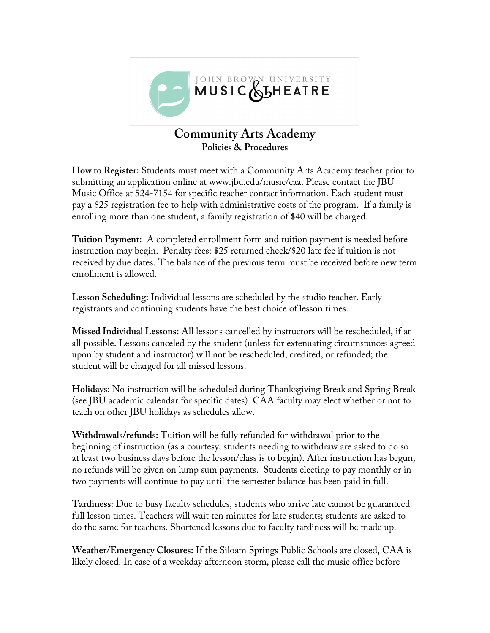

## **Community Arts Academy Policies & Procedures**

**How to Register:** Students must meet with a Community Arts Academy teacher prior to submitting an application online at www.jbu.edu/music/caa. Please contact the JBU Music Office at 524-7154 for specific teacher contact information. Each student must pay a \$25 registration fee to help with administrative costs of the program. If a family is enrolling more than one student, a family registration of \$40 will be charged.

**Tuition Payment:** A completed enrollment form and tuition payment is needed before instruction may begin. Penalty fees: \$25 returned check/\$20 late fee if tuition is not received by due dates. The balance of the previous term must be received before new term enrollment is allowed.

**Lesson Scheduling:** Individual lessons are scheduled by the studio teacher. Early registrants and continuing students have the best choice of lesson times.

**Missed Individual Lessons:** All lessons cancelled by instructors will be rescheduled, if at all possible. Lessons canceled by the student (unless for extenuating circumstances agreed upon by student and instructor) will not be rescheduled, credited, or refunded; the student will be charged for all missed lessons.

**Holidays:** No instruction will be scheduled during Thanksgiving Break and Spring Break (see JBU academic calendar for specific dates). CAA faculty may elect whether or not to teach on other JBU holidays as schedules allow.

**Withdrawals/refunds:** Tuition will be fully refunded for withdrawal prior to the beginning of instruction (as a courtesy, students needing to withdraw are asked to do so at least two business days before the lesson/class is to begin). After instruction has begun, no refunds will be given on lump sum payments. Students electing to pay monthly or in two payments will continue to pay until the semester balance has been paid in full.

**Tardiness:** Due to busy faculty schedules, students who arrive late cannot be guaranteed full lesson times. Teachers will wait ten minutes for late students; students are asked to do the same for teachers. Shortened lessons due to faculty tardiness will be made up.

**Weather/Emergency Closures:** If the Siloam Springs Public Schools are closed, CAA is likely closed. In case of a weekday afternoon storm, please call the music office before